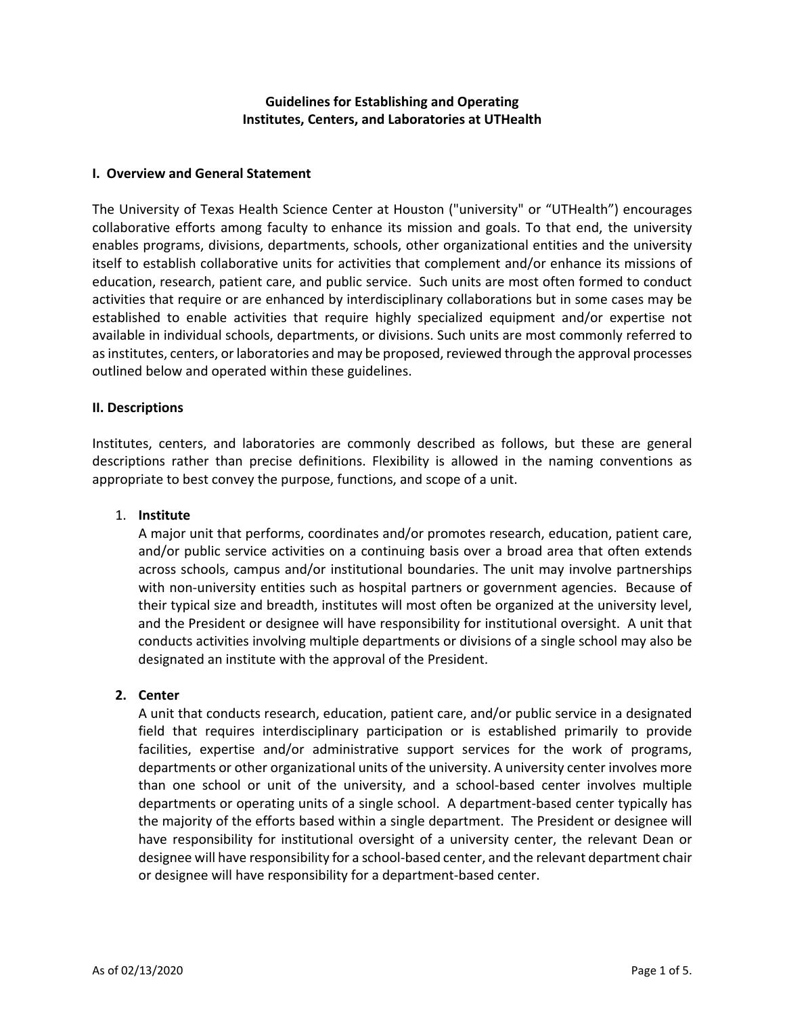# **Guidelines for Establishing and Operating Institutes, Centers, and Laboratories at UTHealth**

#### **I. Overview and General Statement**

The University of Texas Health Science Center at Houston ("university" or "UTHealth") encourages collaborative efforts among faculty to enhance its mission and goals. To that end, the university enables programs, divisions, departments, schools, other organizational entities and the university itself to establish collaborative units for activities that complement and/or enhance its missions of education, research, patient care, and public service. Such units are most often formed to conduct activities that require or are enhanced by interdisciplinary collaborations but in some cases may be established to enable activities that require highly specialized equipment and/or expertise not available in individual schools, departments, or divisions. Such units are most commonly referred to as institutes, centers, or laboratories and may be proposed, reviewed through the approval processes outlined below and operated within these guidelines.

#### **II. Descriptions**

Institutes, centers, and laboratories are commonly described as follows, but these are general descriptions rather than precise definitions. Flexibility is allowed in the naming conventions as appropriate to best convey the purpose, functions, and scope of a unit.

#### 1. **Institute**

A major unit that performs, coordinates and/or promotes research, education, patient care, and/or public service activities on a continuing basis over a broad area that often extends across schools, campus and/or institutional boundaries. The unit may involve partnerships with non-university entities such as hospital partners or government agencies. Because of their typical size and breadth, institutes will most often be organized at the university level, and the President or designee will have responsibility for institutional oversight. A unit that conducts activities involving multiple departments or divisions of a single school may also be designated an institute with the approval of the President.

#### **2. Center**

A unit that conducts research, education, patient care, and/or public service in a designated field that requires interdisciplinary participation or is established primarily to provide facilities, expertise and/or administrative support services for the work of programs, departments or other organizational units of the university. A university center involves more than one school or unit of the university, and a school-based center involves multiple departments or operating units of a single school. A department-based center typically has the majority of the efforts based within a single department. The President or designee will have responsibility for institutional oversight of a university center, the relevant Dean or designee will have responsibility for a school-based center, and the relevant department chair or designee will have responsibility for a department-based center.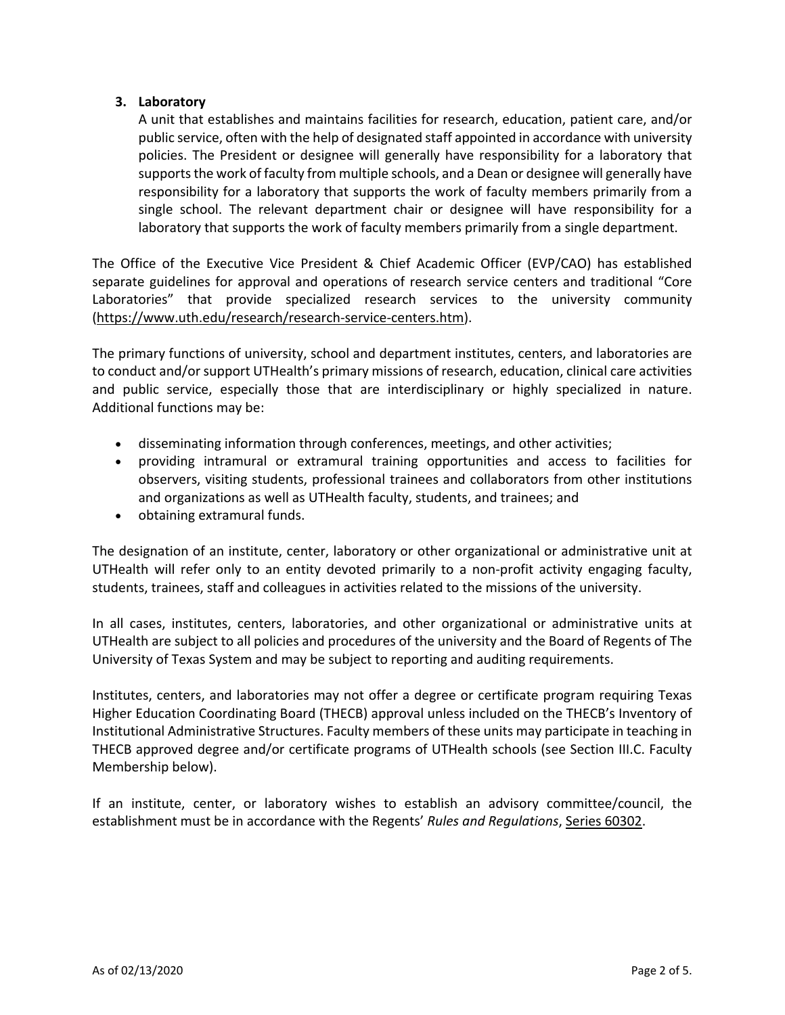# **3. Laboratory**

A unit that establishes and maintains facilities for research, education, patient care, and/or public service, often with the help of designated staff appointed in accordance with university policies. The President or designee will generally have responsibility for a laboratory that supports the work of faculty from multiple schools, and a Dean or designee will generally have responsibility for a laboratory that supports the work of faculty members primarily from a single school. The relevant department chair or designee will have responsibility for a laboratory that supports the work of faculty members primarily from a single department.

The Office of the Executive Vice President & Chief Academic Officer (EVP/CAO) has established separate guidelines for approval and operations of research service centers and traditional "Core Laboratories" that provide specialized research services to the university community (https://www.uth.edu/research/research-service-centers.htm).

The primary functions of university, school and department institutes, centers, and laboratories are to conduct and/or support UTHealth's primary missions of research, education, clinical care activities and public service, especially those that are interdisciplinary or highly specialized in nature. Additional functions may be:

- disseminating information through conferences, meetings, and other activities;
- providing intramural or extramural training opportunities and access to facilities for observers, visiting students, professional trainees and collaborators from other institutions and organizations as well as UTHealth faculty, students, and trainees; and
- obtaining extramural funds.

The designation of an institute, center, laboratory or other organizational or administrative unit at UTHealth will refer only to an entity devoted primarily to a non-profit activity engaging faculty, students, trainees, staff and colleagues in activities related to the missions of the university.

In all cases, institutes, centers, laboratories, and other organizational or administrative units at UTHealth are subject to all policies and procedures of the university and the Board of Regents of The University of Texas System and may be subject to reporting and auditing requirements.

Institutes, centers, and laboratories may not offer a degree or certificate program requiring Texas Higher Education Coordinating Board (THECB) approval unless included on the THECB's Inventory of Institutional Administrative Structures. Faculty members of these units may participate in teaching in THECB approved degree and/or certificate programs of UTHealth schools (see Section III.C. Faculty Membership below).

If an institute, center, or laboratory wishes to establish an advisory committee/council, the establishment must be in accordance with the Regents' *Rules and Regulations*, [Series 60302.](http://www.utsystem.edu/board-of-regents/rules/60302-advisory-councils-institution)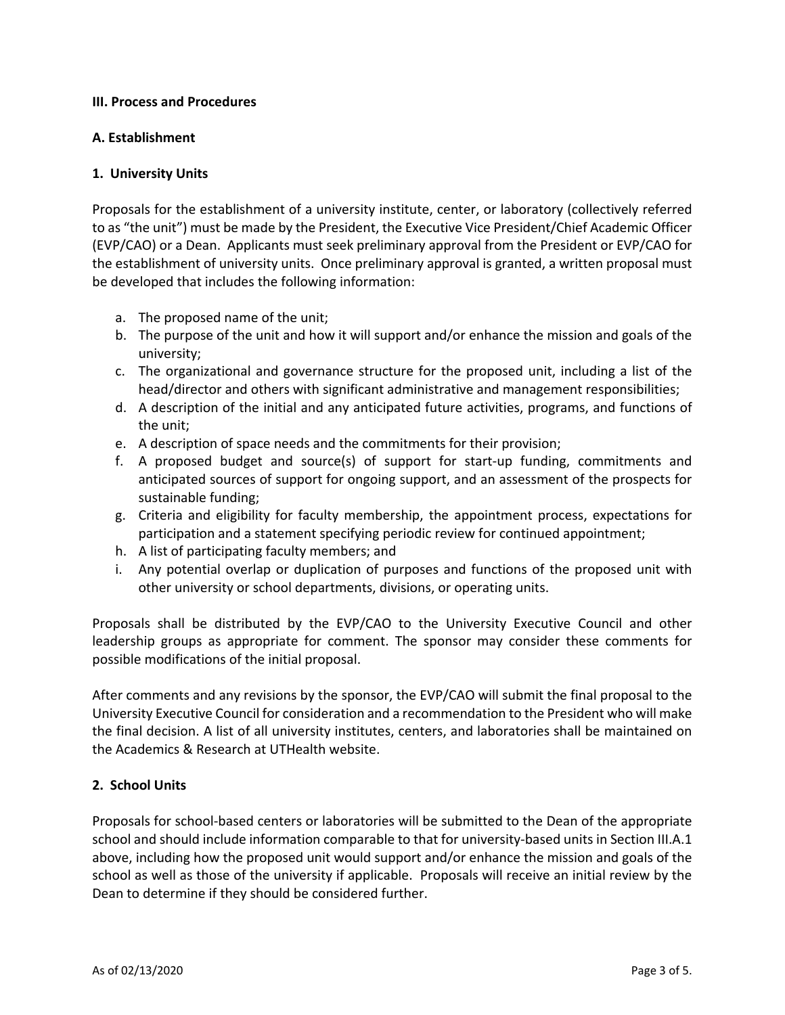### **III. Process and Procedures**

## **A. Establishment**

## **1. University Units**

Proposals for the establishment of a university institute, center, or laboratory (collectively referred to as "the unit") must be made by the President, the Executive Vice President/Chief Academic Officer (EVP/CAO) or a Dean. Applicants must seek preliminary approval from the President or EVP/CAO for the establishment of university units. Once preliminary approval is granted, a written proposal must be developed that includes the following information:

- a. The proposed name of the unit;
- b. The purpose of the unit and how it will support and/or enhance the mission and goals of the university;
- c. The organizational and governance structure for the proposed unit, including a list of the head/director and others with significant administrative and management responsibilities;
- d. A description of the initial and any anticipated future activities, programs, and functions of the unit;
- e. A description of space needs and the commitments for their provision;
- f. A proposed budget and source(s) of support for start-up funding, commitments and anticipated sources of support for ongoing support, and an assessment of the prospects for sustainable funding;
- g. Criteria and eligibility for faculty membership, the appointment process, expectations for participation and a statement specifying periodic review for continued appointment;
- h. A list of participating faculty members; and
- i. Any potential overlap or duplication of purposes and functions of the proposed unit with other university or school departments, divisions, or operating units.

Proposals shall be distributed by the EVP/CAO to the University Executive Council and other leadership groups as appropriate for comment. The sponsor may consider these comments for possible modifications of the initial proposal.

After comments and any revisions by the sponsor, the EVP/CAO will submit the final proposal to the University Executive Council for consideration and a recommendation to the President who will make the final decision. A list of all university institutes, centers, and laboratories shall be maintained on the Academics & Research at UTHealth website.

# **2. School Units**

Proposals for school-based centers or laboratories will be submitted to the Dean of the appropriate school and should include information comparable to that for university-based units in Section III.A.1 above, including how the proposed unit would support and/or enhance the mission and goals of the school as well as those of the university if applicable. Proposals will receive an initial review by the Dean to determine if they should be considered further.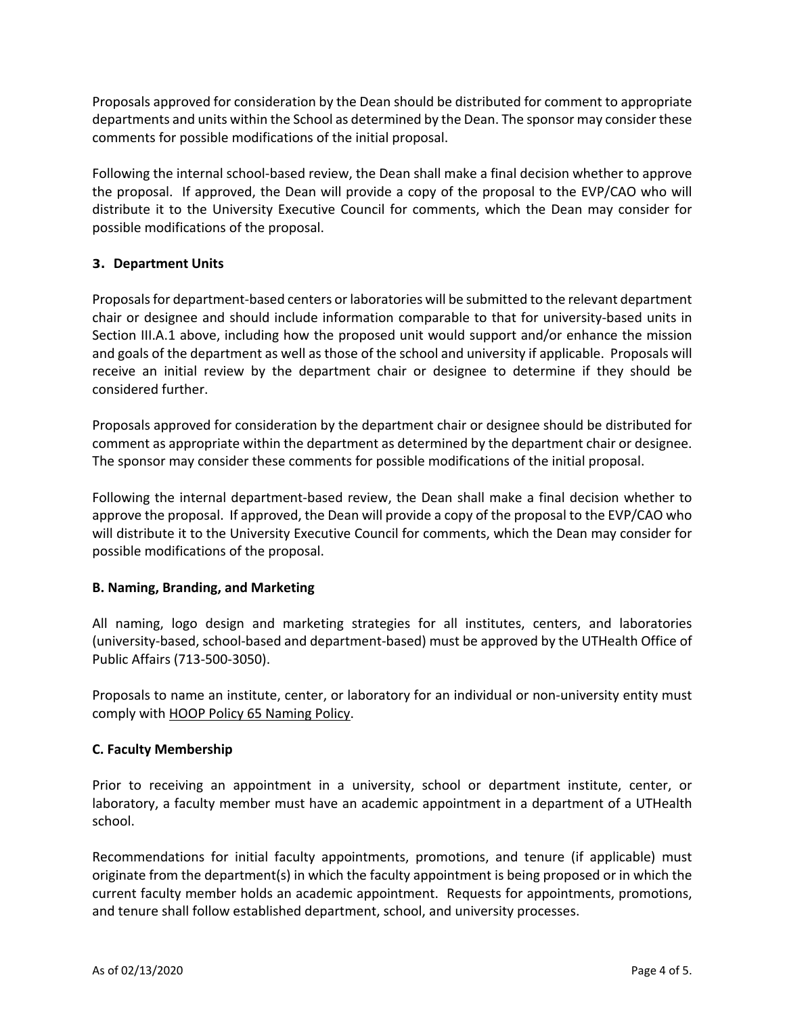Proposals approved for consideration by the Dean should be distributed for comment to appropriate departments and units within the School as determined by the Dean. The sponsor may consider these comments for possible modifications of the initial proposal.

Following the internal school-based review, the Dean shall make a final decision whether to approve the proposal. If approved, the Dean will provide a copy of the proposal to the EVP/CAO who will distribute it to the University Executive Council for comments, which the Dean may consider for possible modifications of the proposal.

## **3. Department Units**

Proposals for department-based centers or laboratories will be submitted to the relevant department chair or designee and should include information comparable to that for university-based units in Section III.A.1 above, including how the proposed unit would support and/or enhance the mission and goals of the department as well as those of the school and university if applicable. Proposals will receive an initial review by the department chair or designee to determine if they should be considered further.

Proposals approved for consideration by the department chair or designee should be distributed for comment as appropriate within the department as determined by the department chair or designee. The sponsor may consider these comments for possible modifications of the initial proposal.

Following the internal department-based review, the Dean shall make a final decision whether to approve the proposal. If approved, the Dean will provide a copy of the proposal to the EVP/CAO who will distribute it to the University Executive Council for comments, which the Dean may consider for possible modifications of the proposal.

#### **B. Naming, Branding, and Marketing**

All naming, logo design and marketing strategies for all institutes, centers, and laboratories (university-based, school-based and department-based) must be approved by the UTHealth Office of Public Affairs (713-500-3050).

Proposals to name an institute, center, or laboratory for an individual or non-university entity must comply with [HOOP Policy 65 Naming Policy.](http://www.uthouston.edu/hoop/policy.htm?id=1447978)

#### **C. Faculty Membership**

Prior to receiving an appointment in a university, school or department institute, center, or laboratory, a faculty member must have an academic appointment in a department of a UTHealth school.

Recommendations for initial faculty appointments, promotions, and tenure (if applicable) must originate from the department(s) in which the faculty appointment is being proposed or in which the current faculty member holds an academic appointment. Requests for appointments, promotions, and tenure shall follow established department, school, and university processes.